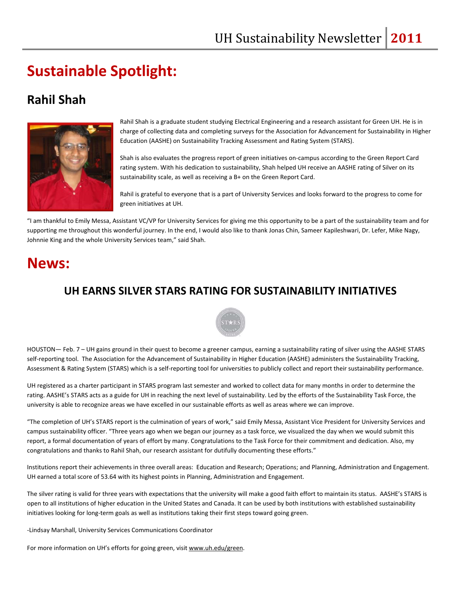# **Sustainable Spotlight:**

#### **Rahil Shah**



Rahil Shah is a graduate student studying Electrical Engineering and a research assistant for Green UH. He is in charge of collecting data and completing surveys for the Association for Advancement for Sustainability in Higher Education (AASHE) on Sustainability Tracking Assessment and Rating System (STARS).

Shah is also evaluates the progress report of green initiatives on‐campus according to the Green Report Card rating system. With his dedication to sustainability, Shah helped UH receive an AASHE rating of Silver on its sustainability scale, as well as receiving a B+ on the Green Report Card.

Rahil is grateful to everyone that is a part of University Services and looks forward to the progress to come for green initiatives at UH.

"I am thankful to Emily Messa, Assistant VC/VP for University Services for giving me this opportunity to be a part of the sustainability team and for supporting me throughout this wonderful journey. In the end, I would also like to thank Jonas Chin, Sameer Kapileshwari, Dr. Lefer, Mike Nagy, Johnnie King and the whole University Services team," said Shah.

## **News:**

#### **UH EARNS SILVER STARS RATING FOR SUSTAINABILITY INITIATIVES**



HOUSTON— Feb. 7 – UH gains ground in their quest to become a greener campus, earning a sustainability rating of silver using the AASHE STARS self-reporting tool. The Association for the Advancement of Sustainability in Higher Education (AASHE) administers the Sustainability Tracking, Assessment & Rating System (STARS) which is a self-reporting tool for universities to publicly collect and report their sustainability performance.

UH registered as a charter participant in STARS program last semester and worked to collect data for many months in order to determine the rating. AASHE's STARS acts as a guide for UH in reaching the next level of sustainability. Led by the efforts of the Sustainability Task Force, the university is able to recognize areas we have excelled in our sustainable efforts as well as areas where we can improve.

"The completion of UH's STARS report is the culmination of years of work," said Emily Messa, Assistant Vice President for University Services and campus sustainability officer. "Three years ago when we began our journey as a task force, we visualized the day when we would submit this report, a formal documentation of years of effort by many. Congratulations to the Task Force for their commitment and dedication. Also, my congratulations and thanks to Rahil Shah, our research assistant for dutifully documenting these efforts."

Institutions report their achievements in three overall areas: Education and Research; Operations; and Planning, Administration and Engagement. UH earned a total score of 53.64 with its highest points in Planning, Administration and Engagement.

The silver rating is valid for three years with expectations that the university will make a good faith effort to maintain its status. AASHE's STARS is open to all institutions of higher education in the United States and Canada. It can be used by both institutions with established sustainability initiatives looking for long-term goals as well as institutions taking their first steps toward going green.

‐Lindsay Marshall, University Services Communications Coordinator

For more information on UH's efforts for going green, visit www.uh.edu/green.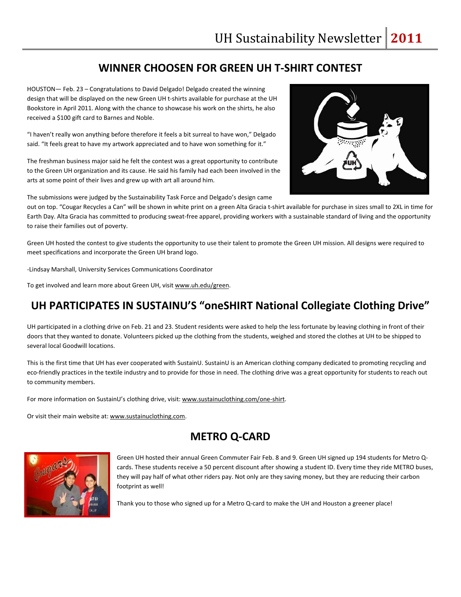#### **WINNER CHOOSEN FOR GREEN UH T‐SHIRT CONTEST**

HOUSTON— Feb. 23 – Congratulations to David Delgado! Delgado created the winning design that will be displayed on the new Green UH t‐shirts available for purchase at the UH Bookstore in April 2011. Along with the chance to showcase his work on the shirts, he also received a \$100 gift card to Barnes and Noble.

"I haven't really won anything before therefore it feels a bit surreal to have won," Delgado said. "It feels great to have my artwork appreciated and to have won something for it."

The freshman business major said he felt the contest was a great opportunity to contribute to the Green UH organization and its cause. He said his family had each been involved in the arts at some point of their lives and grew up with art all around him.

The submissions were judged by the Sustainability Task Force and Delgado's design came

out on top. "Cougar Recycles a Can" will be shown in white print on a green Alta Gracia t-shirt available for purchase in sizes small to 2XL in time for Earth Day. Alta Gracia has committed to producing sweat‐free apparel, providing workers with a sustainable standard of living and the opportunity to raise their families out of poverty.

Green UH hosted the contest to give students the opportunity to use their talent to promote the Green UH mission. All designs were required to meet specifications and incorporate the Green UH brand logo.

‐Lindsay Marshall, University Services Communications Coordinator

To get involved and learn more about Green UH, visit www.uh.edu/green.

#### **UH PARTICIPATES IN SUSTAINU'S "oneSHIRT National Collegiate Clothing Drive"**

UH participated in a clothing drive on Feb. 21 and 23. Student residents were asked to help the less fortunate by leaving clothing in front of their doors that they wanted to donate. Volunteers picked up the clothing from the students, weighed and stored the clothes at UH to be shipped to several local Goodwill locations.

This is the first time that UH has ever cooperated with SustainU. SustainU is an American clothing company dedicated to promoting recycling and eco-friendly practices in the textile industry and to provide for those in need. The clothing drive was a great opportunity for students to reach out to community members.

For more information on SustainU's clothing drive, visit: www.sustainuclothing.com/one-shirt.

Or visit their main website at: www.sustainuclothing.com.

#### **METRO Q‐CARD**



Green UH hosted their annual Green Commuter Fair Feb. 8 and 9. Green UH signed up 194 students for Metro Q‐ cards. These students receive a 50 percent discount after showing a student ID. Every time they ride METRO buses, they will pay half of what other riders pay. Not only are they saving money, but they are reducing their carbon footprint as well!

Thank you to those who signed up for a Metro Q‐card to make the UH and Houston a greener place!

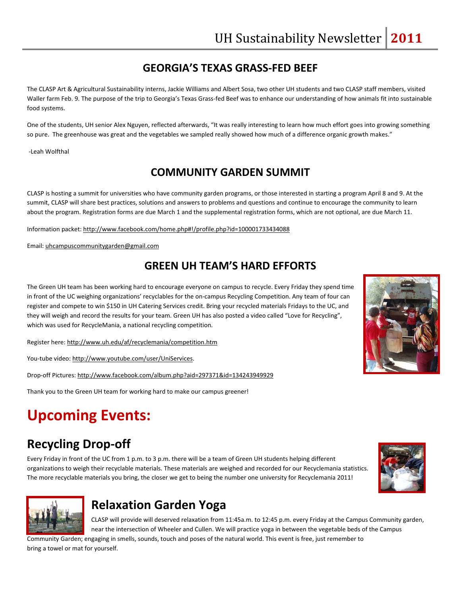#### **GEORGIA'S TEXAS GRASS‐FED BEEF**

The CLASP Art & Agricultural Sustainability interns, Jackie Williams and Albert Sosa, two other UH students and two CLASP staff members, visited Waller farm Feb. 9. The purpose of the trip to Georgia's Texas Grass-fed Beef was to enhance our understanding of how animals fit into sustainable food systems.

One of the students, UH senior Alex Nguyen, reflected afterwards, "It was really interesting to learn how much effort goes into growing something so pure. The greenhouse was great and the vegetables we sampled really showed how much of a difference organic growth makes."

‐Leah Wolfthal

#### **COMMUNITY GARDEN SUMMIT**

CLASP is hosting a summit for universities who have community garden programs, or those interested in starting a program April 8 and 9. At the summit, CLASP will share best practices, solutions and answers to problems and questions and continue to encourage the community to learn about the program. Registration forms are due March 1 and the supplemental registration forms, which are not optional, are due March 11.

Information packet: http://www.facebook.com/home.php#!/profile.php?id=100001733434088

Email: uhcampuscommunitygarden@gmail.com

#### **GREEN UH TEAM'S HARD EFFORTS**

The Green UH team has been working hard to encourage everyone on campus to recycle. Every Friday they spend time in front of the UC weighing organizations' recyclables for the on‐campus Recycling Competition. Any team of four can register and compete to win \$150 in UH Catering Services credit. Bring your recycled materials Fridays to the UC, and they will weigh and record the results for your team. Green UH has also posted a video called "Love for Recycling", which was used for RecycleMania, a national recycling competition.

Register here: http://www.uh.edu/af/recyclemania/competition.htm

You-tube video: http://www.youtube.com/user/UniServices.

Drop‐off Pictures: http://www.facebook.com/album.php?aid=297371&id=134243949929

Thank you to the Green UH team for working hard to make our campus greener!

# **Upcoming Events:**

## **Recycling Drop‐off**

Every Friday in front of the UC from 1 p.m. to 3 p.m. there will be a team of Green UH students helping different organizations to weigh their recyclable materials. These materials are weighed and recorded for our Recyclemania statistics. The more recyclable materials you bring, the closer we get to being the number one university for Recyclemania 2011!





#### **Relaxation Garden Yoga**

CLASP will provide will deserved relaxation from 11:45a.m. to 12:45 p.m. every Friday at the Campus Community garden, near the intersection of Wheeler and Cullen. We will practice yoga in between the vegetable beds of the Campus

Community Garden; engaging in smells, sounds, touch and poses of the natural world. This event is free, just remember to bring a towel or mat for yourself.